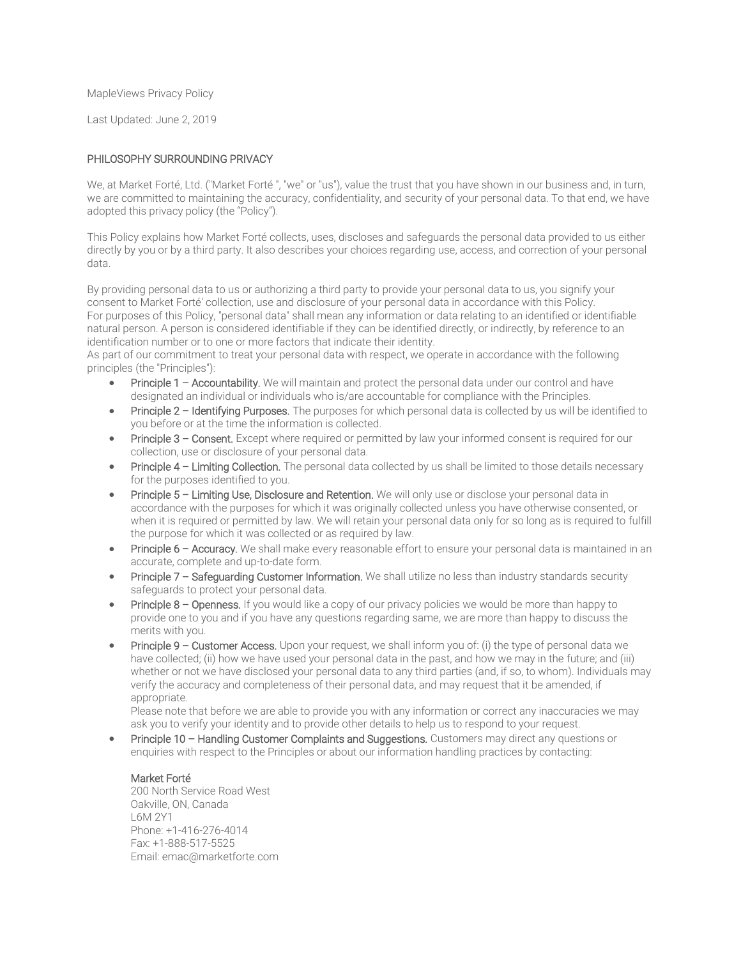MapleViews Privacy Policy

Last Updated: June 2, 2019

# PHILOSOPHY SURROUNDING PRIVACY

We, at Market Forté, Ltd. ("Market Forté ", "we" or "us"), value the trust that you have shown in our business and, in turn, we are committed to maintaining the accuracy, confidentiality, and security of your personal data. To that end, we have adopted this privacy policy (the "Policy").

This Policy explains how Market Forté collects, uses, discloses and safeguards the personal data provided to us either directly by you or by a third party. It also describes your choices regarding use, access, and correction of your personal data.

By providing personal data to us or authorizing a third party to provide your personal data to us, you signify your consent to Market Forté' collection, use and disclosure of your personal data in accordance with this Policy. For purposes of this Policy, "personal data" shall mean any information or data relating to an identified or identifiable natural person. A person is considered identifiable if they can be identified directly, or indirectly, by reference to an identification number or to one or more factors that indicate their identity.

As part of our commitment to treat your personal data with respect, we operate in accordance with the following principles (the "Principles"):

- Principle 1 Accountability. We will maintain and protect the personal data under our control and have designated an individual or individuals who is/are accountable for compliance with the Principles.
- Principle 2 Identifying Purposes. The purposes for which personal data is collected by us will be identified to you before or at the time the information is collected.
- Principle 3 Consent. Except where required or permitted by law your informed consent is required for our collection, use or disclosure of your personal data.
- Principle 4 Limiting Collection. The personal data collected by us shall be limited to those details necessary for the purposes identified to you.
- Principle 5 Limiting Use, Disclosure and Retention. We will only use or disclose your personal data in accordance with the purposes for which it was originally collected unless you have otherwise consented, or when it is required or permitted by law. We will retain your personal data only for so long as is required to fulfill the purpose for which it was collected or as required by law.
- Principle 6 Accuracy. We shall make every reasonable effort to ensure your personal data is maintained in an accurate, complete and up-to-date form.
- Principle 7 Safequarding Customer Information. We shall utilize no less than industry standards security safeguards to protect your personal data.
- Principle 8 Openness. If you would like a copy of our privacy policies we would be more than happy to provide one to you and if you have any questions regarding same, we are more than happy to discuss the merits with you.
- Principle 9 Customer Access. Upon your request, we shall inform you of: (i) the type of personal data we have collected; (ii) how we have used your personal data in the past, and how we may in the future; and (iii) whether or not we have disclosed your personal data to any third parties (and, if so, to whom). Individuals may verify the accuracy and completeness of their personal data, and may request that it be amended, if appropriate.

Please note that before we are able to provide you with any information or correct any inaccuracies we may ask you to verify your identity and to provide other details to help us to respond to your request.

 Principle 10 – Handling Customer Complaints and Suggestions. Customers may direct any questions or enquiries with respect to the Principles or about our information handling practices by contacting:

## Market Forté

200 North Service Road West Oakville, ON, Canada L6M 2Y1 Phone: [+1-416-276-4014](tel:+14164675100) Fax: [+1-888-517-5525](tel:+14164224801) Email: [emac@marketforte.com](mailto:privacy@dundas.com)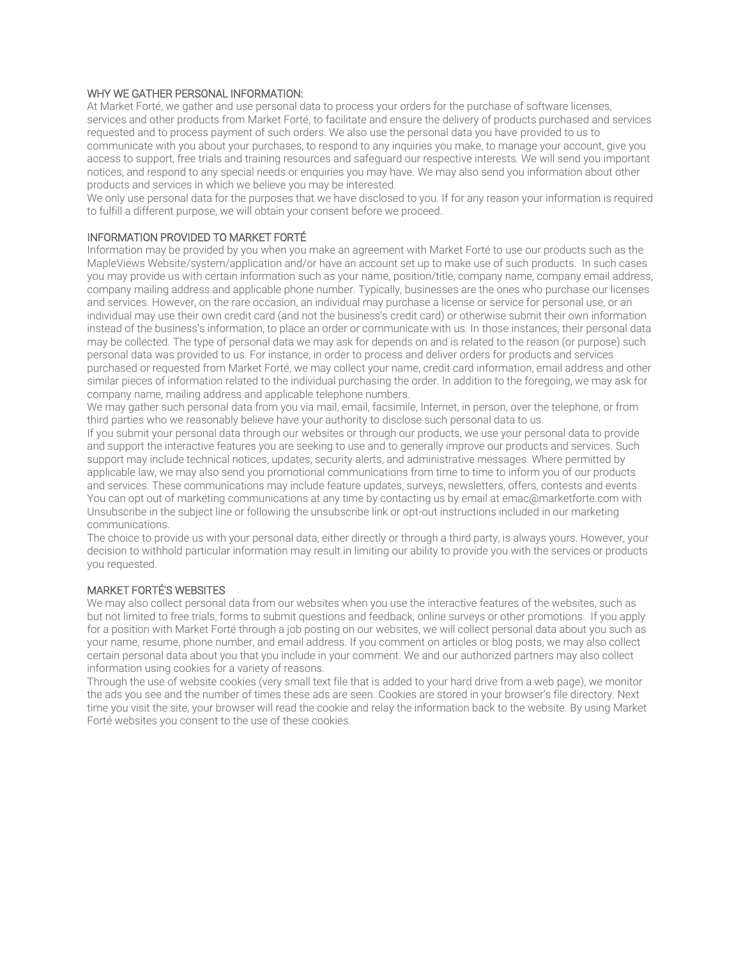# WHY WE GATHER PERSONAL INFORMATION:

At Market Forté, we gather and use personal data to process your orders for the purchase of software licenses, services and other products from Market Forté, to facilitate and ensure the delivery of products purchased and services requested and to process payment of such orders. We also use the personal data you have provided to us to communicate with you about your purchases, to respond to any inquiries you make, to manage your account, give you access to support, free trials and training resources and safeguard our respective interests. We will send you important notices, and respond to any special needs or enquiries you may have. We may also send you information about other products and services in which we believe you may be interested.

We only use personal data for the purposes that we have disclosed to you. If for any reason your information is required to fulfill a different purpose, we will obtain your consent before we proceed.

#### INFORMATION PROVIDED TO MARKET FORTÉ

Information may be provided by you when you make an agreement with Market Forté to use our products such as the MapleViews Website/system/application and/or have an account set up to make use of such products. In such cases you may provide us with certain information such as your name, position/title, company name, company email address, company mailing address and applicable phone number. Typically, businesses are the ones who purchase our licenses and services. However, on the rare occasion, an individual may purchase a license or service for personal use, or an individual may use their own credit card (and not the business's credit card) or otherwise submit their own information instead of the business's information, to place an order or communicate with us. In those instances, their personal data may be collected. The type of personal data we may ask for depends on and is related to the reason (or purpose) such personal data was provided to us. For instance, in order to process and deliver orders for products and services purchased or requested from Market Forté, we may collect your name, credit card information, email address and other similar pieces of information related to the individual purchasing the order. In addition to the foregoing, we may ask for company name, mailing address and applicable telephone numbers.

We may gather such personal data from you via mail, email, facsimile, Internet, in person, over the telephone, or from third parties who we reasonably believe have your authority to disclose such personal data to us.

If you submit your personal data through our websites or through our products, we use your personal data to provide and support the interactive features you are seeking to use and to generally improve our products and services. Such support may include technical notices, updates, security alerts, and administrative messages. Where permitted by applicable law, we may also send you promotional communications from time to time to inform you of our products and services. These communications may include feature updates, surveys, newsletters, offers, contests and events. You can opt out of marketing communications at any time by contacting us by email at [emac@marketforte.com](mailto:info@dundas.com?subject=Unsubscribe) with Unsubscribe in the subject line or following the unsubscribe link or opt-out instructions included in our marketing communications.

The choice to provide us with your personal data, either directly or through a third party, is always yours. However, your decision to withhold particular information may result in limiting our ability to provide you with the services or products you requested.

## MARKET FORTÉ'S WEBSITES

We may also collect personal data from our websites when you use the interactive features of the websites, such as but not limited to free trials, forms to submit questions and feedback, online surveys or other promotions. If you apply for a position with Market Forté through a job posting on our websites, we will collect personal data about you such as your name, resume, phone number, and email address. If you comment on articles or blog posts, we may also collect certain personal data about you that you include in your comment. We and our authorized partners may also collect information using cookies for a variety of reasons.

Through the use of website cookies (very small text file that is added to your hard drive from a web page), we monitor the ads you see and the number of times these ads are seen. Cookies are stored in your browser's file directory. Next time you visit the site, your browser will read the cookie and relay the information back to the website. By using Market Forté websites you consent to the use of these cookies.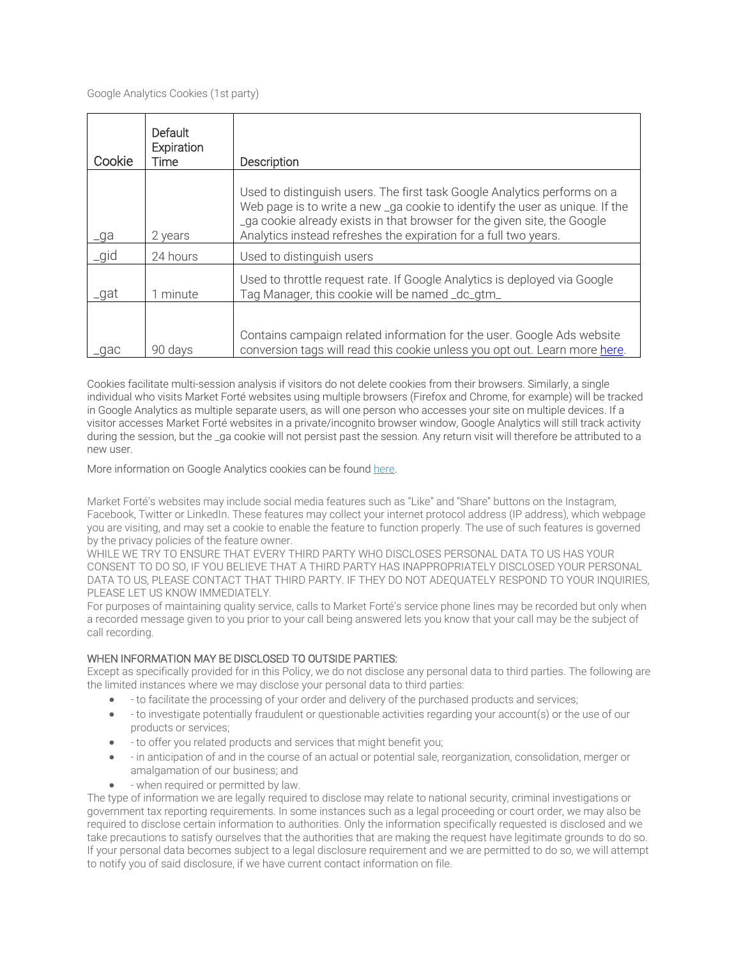| Cookie | Default<br>Expiration<br>Time | Description                                                                                                                                                                                                                                                                                              |
|--------|-------------------------------|----------------------------------------------------------------------------------------------------------------------------------------------------------------------------------------------------------------------------------------------------------------------------------------------------------|
| _ga    | 2 years                       | Used to distinguish users. The first task Google Analytics performs on a<br>Web page is to write a new _ga cookie to identify the user as unique. If the<br>_ga cookie already exists in that browser for the given site, the Google<br>Analytics instead refreshes the expiration for a full two years. |
| _gid   | 24 hours                      | Used to distinguish users                                                                                                                                                                                                                                                                                |
| _gat   | 1 minute                      | Used to throttle request rate. If Google Analytics is deployed via Google<br>Tag Manager, this cookie will be named _dc_gtm_                                                                                                                                                                             |
| _gac   | 90 days                       | Contains campaign related information for the user. Google Ads website<br>conversion tags will read this cookie unless you opt out. Learn more here.                                                                                                                                                     |

Cookies facilitate multi-session analysis if visitors do not delete cookies from their browsers. Similarly, a single individual who visits Market Forté websites using multiple browsers (Firefox and Chrome, for example) will be tracked in Google Analytics as multiple separate users, as will one person who accesses your site on multiple devices. If a visitor accesses Market Forté websites in a private/incognito browser window, Google Analytics will still track activity during the session, but the \_ga cookie will not persist past the session. Any return visit will therefore be attributed to a new user.

More information on Google Analytics cookies can be found [here.](https://developers.google.com/analytics/devguides/collection/analyticsjs/cookie-usage)

Market Forté's websites may include social media features such as "Like" and "Share" buttons on the Instagram, Facebook, Twitter or LinkedIn. These features may collect your internet protocol address (IP address), which webpage you are visiting, and may set a cookie to enable the feature to function properly. The use of such features is governed by the privacy policies of the feature owner.

WHILE WE TRY TO ENSURE THAT EVERY THIRD PARTY WHO DISCLOSES PERSONAL DATA TO US HAS YOUR CONSENT TO DO SO, IF YOU BELIEVE THAT A THIRD PARTY HAS INAPPROPRIATELY DISCLOSED YOUR PERSONAL DATA TO US, PLEASE CONTACT THAT THIRD PARTY. IF THEY DO NOT ADEQUATELY RESPOND TO YOUR INQUIRIES, PLEASE LET US KNOW IMMEDIATELY.

For purposes of maintaining quality service, calls to Market Forté's service phone lines may be recorded but only when a recorded message given to you prior to your call being answered lets you know that your call may be the subject of call recording.

# WHEN INFORMATION MAY BE DISCLOSED TO OUTSIDE PARTIES:

Except as specifically provided for in this Policy, we do not disclose any personal data to third parties. The following are the limited instances where we may disclose your personal data to third parties:

- to facilitate the processing of your order and delivery of the purchased products and services;
- to investigate potentially fraudulent or questionable activities regarding your account(s) or the use of our products or services;
- to offer you related products and services that might benefit you;
- in anticipation of and in the course of an actual or potential sale, reorganization, consolidation, merger or amalgamation of our business; and
- when required or permitted by law.

The type of information we are legally required to disclose may relate to national security, criminal investigations or government tax reporting requirements. In some instances such as a legal proceeding or court order, we may also be required to disclose certain information to authorities. Only the information specifically requested is disclosed and we take precautions to satisfy ourselves that the authorities that are making the request have legitimate grounds to do so. If your personal data becomes subject to a legal disclosure requirement and we are permitted to do so, we will attempt to notify you of said disclosure, if we have current contact information on file.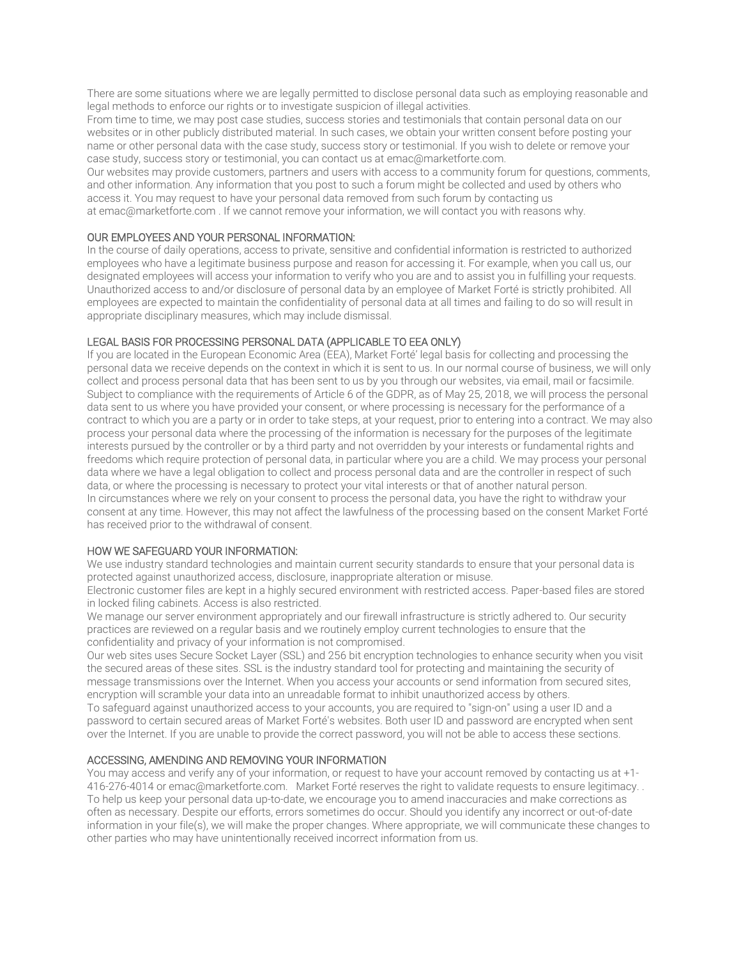There are some situations where we are legally permitted to disclose personal data such as employing reasonable and legal methods to enforce our rights or to investigate suspicion of illegal activities.

From time to time, we may post case studies, success stories and testimonials that contain personal data on our websites or in other publicly distributed material. In such cases, we obtain your written consent before posting your name or other personal data with the case study, success story or testimonial. If you wish to delete or remove your case study, success story or testimonial, you can contact us at [emac@marketforte.com.](mailto:marketing@dundas.com)

Our websites may provide customers, partners and users with access to a community forum for questions, comments, and other information. Any information that you post to such a forum might be collected and used by others who access it. You may request to have your personal data removed from such forum by contacting us at [emac@marketforte.com](mailto:marketing@dundas.com) . If we cannot remove your information, we will contact you with reasons why.

## OUR EMPLOYEES AND YOUR PERSONAL INFORMATION:

In the course of daily operations, access to private, sensitive and confidential information is restricted to authorized employees who have a legitimate business purpose and reason for accessing it. For example, when you call us, our designated employees will access your information to verify who you are and to assist you in fulfilling your requests. Unauthorized access to and/or disclosure of personal data by an employee of Market Forté is strictly prohibited. All employees are expected to maintain the confidentiality of personal data at all times and failing to do so will result in appropriate disciplinary measures, which may include dismissal.

## LEGAL BASIS FOR PROCESSING PERSONAL DATA (APPLICABLE TO EEA ONLY)

If you are located in the European Economic Area (EEA), Market Forté' legal basis for collecting and processing the personal data we receive depends on the context in which it is sent to us. In our normal course of business, we will only collect and process personal data that has been sent to us by you through our websites, via email, mail or facsimile. Subject to compliance with the requirements of Article 6 of the GDPR, as of May 25, 2018, we will process the personal data sent to us where you have provided your consent, or where processing is necessary for the performance of a contract to which you are a party or in order to take steps, at your request, prior to entering into a contract. We may also process your personal data where the processing of the information is necessary for the purposes of the legitimate interests pursued by the controller or by a third party and not overridden by your interests or fundamental rights and freedoms which require protection of personal data, in particular where you are a child. We may process your personal data where we have a legal obligation to collect and process personal data and are the controller in respect of such data, or where the processing is necessary to protect your vital interests or that of another natural person. In circumstances where we rely on your consent to process the personal data, you have the right to withdraw your consent at any time. However, this may not affect the lawfulness of the processing based on the consent Market Forté has received prior to the withdrawal of consent.

#### HOW WE SAFEGUARD YOUR INFORMATION:

We use industry standard technologies and maintain current security standards to ensure that your personal data is protected against unauthorized access, disclosure, inappropriate alteration or misuse.

Electronic customer files are kept in a highly secured environment with restricted access. Paper-based files are stored in locked filing cabinets. Access is also restricted.

We manage our server environment appropriately and our firewall infrastructure is strictly adhered to. Our security practices are reviewed on a regular basis and we routinely employ current technologies to ensure that the confidentiality and privacy of your information is not compromised.

Our web sites uses Secure Socket Layer (SSL) and 256 bit encryption technologies to enhance security when you visit the secured areas of these sites. SSL is the industry standard tool for protecting and maintaining the security of message transmissions over the Internet. When you access your accounts or send information from secured sites, encryption will scramble your data into an unreadable format to inhibit unauthorized access by others.

To safeguard against unauthorized access to your accounts, you are required to "sign-on" using a user ID and a password to certain secured areas of Market Forté's websites. Both user ID and password are encrypted when sent over the Internet. If you are unable to provide the correct password, you will not be able to access these sections.

### ACCESSING, AMENDING AND REMOVING YOUR INFORMATION

You may access and verify any of your information, or request to have your account removed by contacting us at [+1-](tel:+14164675100) [416-276-4014](tel:+14164675100) or emac@marketforte.com. Market Forté reserves the right to validate requests to ensure legitimacy. . To help us keep your personal data up-to-date, we encourage you to amend inaccuracies and make corrections as often as necessary. Despite our efforts, errors sometimes do occur. Should you identify any incorrect or out-of-date information in your file(s), we will make the proper changes. Where appropriate, we will communicate these changes to other parties who may have unintentionally received incorrect information from us.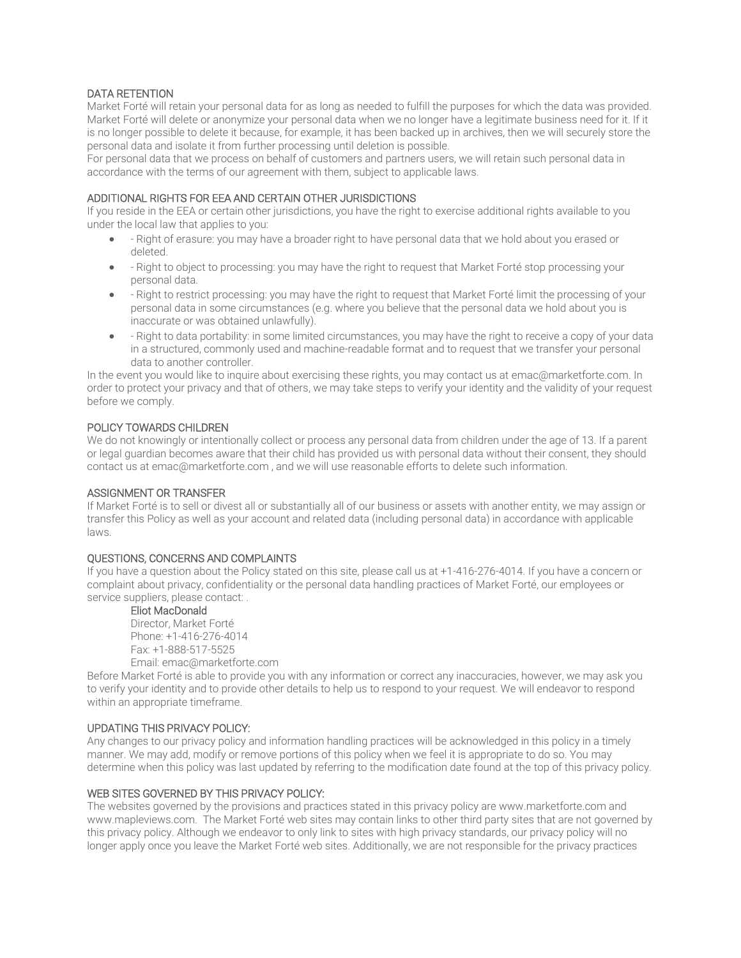# DATA RETENTION

Market Forté will retain your personal data for as long as needed to fulfill the purposes for which the data was provided. Market Forté will delete or anonymize your personal data when we no longer have a legitimate business need for it. If it is no longer possible to delete it because, for example, it has been backed up in archives, then we will securely store the personal data and isolate it from further processing until deletion is possible.

For personal data that we process on behalf of customers and partners users, we will retain such personal data in accordance with the terms of our agreement with them, subject to applicable laws.

## ADDITIONAL RIGHTS FOR EEA AND CERTAIN OTHER JURISDICTIONS

If you reside in the EEA or certain other jurisdictions, you have the right to exercise additional rights available to you under the local law that applies to you:

- Right of erasure: you may have a broader right to have personal data that we hold about you erased or deleted.
- Right to object to processing: you may have the right to request that Market Forté stop processing your personal data.
- Right to restrict processing: you may have the right to request that Market Forté limit the processing of your personal data in some circumstances (e.g. where you believe that the personal data we hold about you is inaccurate or was obtained unlawfully).
- Right to data portability: in some limited circumstances, you may have the right to receive a copy of your data in a structured, commonly used and machine-readable format and to request that we transfer your personal data to another controller.

In the event you would like to inquire about exercising these rights, you may contact us at emac@marketforte.com. In order to protect your privacy and that of others, we may take steps to verify your identity and the validity of your request before we comply.

## POLICY TOWARDS CHILDREN

We do not knowingly or intentionally collect or process any personal data from children under the age of 13. If a parent or legal guardian becomes aware that their child has provided us with personal data without their consent, they should contact us at emac@marketforte.com , and we will use reasonable efforts to delete such information.

### ASSIGNMENT OR TRANSFER

If Market Forté is to sell or divest all or substantially all of our business or assets with another entity, we may assign or transfer this Policy as well as your account and related data (including personal data) in accordance with applicable laws.

#### QUESTIONS, CONCERNS AND COMPLAINTS

If you have a question about the Policy stated on this site, please call us at +1-416-276-4014. If you have a concern or complaint about privacy, confidentiality or the personal data handling practices of Market Forté, our employees or service suppliers, please contact:

#### Eliot MacDonald

Director, Market Forté Phone: [+1-416-276-4014](tel:+14164675100p120) Fax: [+1-888-517-5525](tel:+14164224801) Email: [emac@marketforte.com](mailto:privacy@dundas.com)

Before Market Forté is able to provide you with any information or correct any inaccuracies, however, we may ask you to verify your identity and to provide other details to help us to respond to your request. We will endeavor to respond within an appropriate timeframe.

# UPDATING THIS PRIVACY POLICY:

Any changes to our privacy policy and information handling practices will be acknowledged in this policy in a timely manner. We may add, modify or remove portions of this policy when we feel it is appropriate to do so. You may determine when this policy was last updated by referring to the modification date found at the top of this privacy policy.

#### WEB SITES GOVERNED BY THIS PRIVACY POLICY:

The websites governed by the provisions and practices stated in this privacy policy ar[e www.marketforte.com](https://www.dundas.com/) and www.mapleviews.com. The Market Forté web sites may contain links to other third party sites that are not governed by this privacy policy. Although we endeavor to only link to sites with high privacy standards, our privacy policy will no longer apply once you leave the Market Forté web sites. Additionally, we are not responsible for the privacy practices